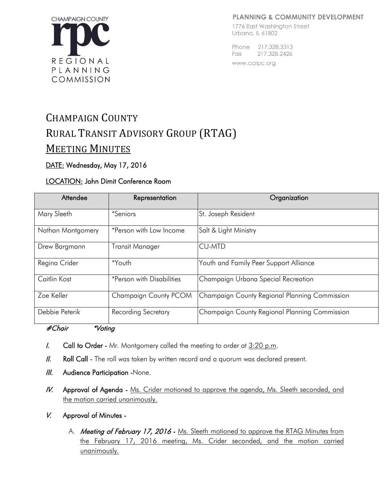#### **PLANNING & COMMUNITY DEVELOPMENT**



#### 1776 East Washington Street Urbana, IL 61802

Phone 217,328,3313 Fax 217.328.2426 www.ccrpc.org

# CHAMPAIGN COUNTY RURAL TRANSIT ADVISORY GROUP (RTAG) MEETING MINUTES

## DATE: Wednesday, May 17, 2016

### LOCATION: John Dimit Conference Room

| Attendee          | Representation                   | Organization                                  |
|-------------------|----------------------------------|-----------------------------------------------|
| Mary Sleeth       | <i>*Seniors</i>                  | St. Joseph Resident                           |
| Nathan Montgomery | *Person with Low Income          | Salt & Light Ministry                         |
| Drew Bargmann     | <b>Transit Manager</b>           | <b>CU-MTD</b>                                 |
| Regina Crider     | *Youth                           | Youth and Family Peer Support Alliance        |
| Caitlin Kost      | <i>*Person with Disabilities</i> | Champaign Urbana Special Recreation           |
| Zoe Keller        | Champaign County PCOM            | Champaign County Regional Planning Commission |
| Debbie Peterik    | <b>Recording Secretary</b>       | Champaign County Regional Planning Commission |

#### #Chair \*Voting

- I. Call to Order Mr. Montgomery called the meeting to order at  $3:20$  p.m.
- II. Roll Call The roll was taken by written record and a quorum was declared present.
- **III.** Audience Participation -None.
- IV. Approval of Agenda Ms. Crider motioned to approve the agenda, Ms. Sleeth seconded, and the motion carried unanimously.
- V. Approval of Minutes
	- A. Meeting of February 17, 2016 Ms. Sleeth motioned to approve the RTAG Minutes from the February 17, 2016 meeting, Ms. Crider seconded, and the motion carried unanimously.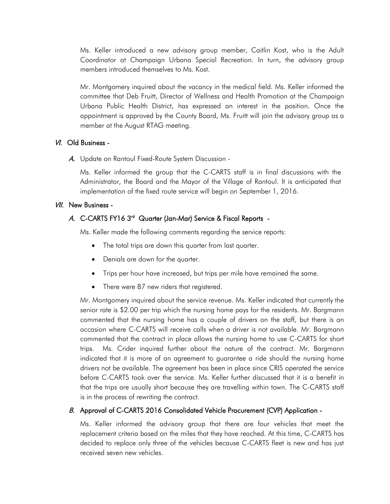Ms. Keller introduced a new advisory group member, Caitlin Kost, who is the Adult Coordinator at Champaign Urbana Special Recreation. In turn, the advisory group members introduced themselves to Ms. Kost.

Mr. Montgomery inquired about the vacancy in the medical field. Ms. Keller informed the committee that Deb Fruitt, Director of Wellness and Health Promotion at the Champaign Urbana Public Health District, has expressed an interest in the position. Once the appointment is approved by the County Board, Ms. Fruitt will join the advisory group as a member at the August RTAG meeting.

#### VI. Old Business -

A. Update on Rantoul Fixed-Route System Discussion -

Ms. Keller informed the group that the C-CARTS staff is in final discussions with the Administrator, the Board and the Mayor of the Village of Rantoul. It is anticipated that implementation of the fixed route service will begin on September 1, 2016.

#### VII. New Business -

## A. C-CARTS FY16 3<sup>rd</sup> Quarter (Jan-Mar) Service & Fiscal Reports -

Ms. Keller made the following comments regarding the service reports:

- The total trips are down this quarter from last quarter.
- Denials are down for the quarter.
- Trips per hour have increased, but trips per mile have remained the same.
- There were 87 new riders that registered.

Mr. Montgomery inquired about the service revenue. Ms. Keller indicated that currently the senior rate is \$2.00 per trip which the nursing home pays for the residents. Mr. Bargmann commented that the nursing home has a couple of drivers on the staff, but there is an occasion where C-CARTS will receive calls when a driver is not available. Mr. Bargmann commented that the contract in place allows the nursing home to use C-CARTS for short trips. Ms. Crider inquired further about the nature of the contract. Mr. Bargmann indicated that it is more of an agreement to guarantee a ride should the nursing home drivers not be available. The agreement has been in place since CRIS operated the service before C-CARTS took over the service. Ms. Keller further discussed that it is a benefit in that the trips are usually short because they are travelling within town. The C-CARTS staff is in the process of rewriting the contract.

#### B. Approval of C-CARTS 2016 Consolidated Vehicle Procurement (CVP) Application -

Ms. Keller informed the advisory group that there are four vehicles that meet the replacement criteria based on the miles that they have reached. At this time, C-CARTS has decided to replace only three of the vehicles because C-CARTS fleet is new and has just received seven new vehicles.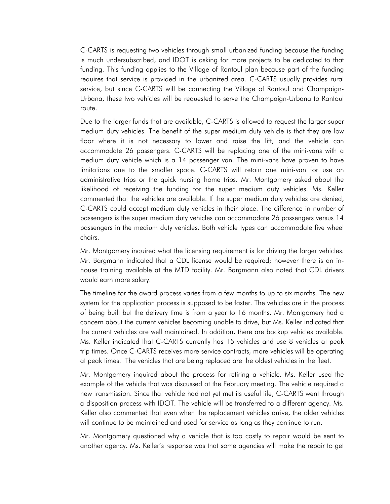C-CARTS is requesting two vehicles through small urbanized funding because the funding is much undersubscribed, and IDOT is asking for more projects to be dedicated to that funding. This funding applies to the Village of Rantoul plan because part of the funding requires that service is provided in the urbanized area. C-CARTS usually provides rural service, but since C-CARTS will be connecting the Village of Rantoul and Champaign-Urbana, these two vehicles will be requested to serve the Champaign-Urbana to Rantoul route.

Due to the larger funds that are available, C-CARTS is allowed to request the larger super medium duty vehicles. The benefit of the super medium duty vehicle is that they are low floor where it is not necessary to lower and raise the lift, and the vehicle can accommodate 26 passengers. C-CARTS will be replacing one of the mini-vans with a medium duty vehicle which is a 14 passenger van. The mini-vans have proven to have limitations due to the smaller space. C-CARTS will retain one mini-van for use on administrative trips or the quick nursing home trips. Mr. Montgomery asked about the likelihood of receiving the funding for the super medium duty vehicles. Ms. Keller commented that the vehicles are available. If the super medium duty vehicles are denied, C-CARTS could accept medium duty vehicles in their place. The difference in number of passengers is the super medium duty vehicles can accommodate 26 passengers versus 14 passengers in the medium duty vehicles. Both vehicle types can accommodate five wheel chairs.

Mr. Montgomery inquired what the licensing requirement is for driving the larger vehicles. Mr. Bargmann indicated that a CDL license would be required; however there is an inhouse training available at the MTD facility. Mr. Bargmann also noted that CDL drivers would earn more salary.

The timeline for the award process varies from a few months to up to six months. The new system for the application process is supposed to be faster. The vehicles are in the process of being built but the delivery time is from a year to 16 months. Mr. Montgomery had a concern about the current vehicles becoming unable to drive, but Ms. Keller indicated that the current vehicles are well maintained. In addition, there are backup vehicles available. Ms. Keller indicated that C-CARTS currently has 15 vehicles and use 8 vehicles at peak trip times. Once C-CARTS receives more service contracts, more vehicles will be operating at peak times. The vehicles that are being replaced are the oldest vehicles in the fleet.

Mr. Montgomery inquired about the process for retiring a vehicle. Ms. Keller used the example of the vehicle that was discussed at the February meeting. The vehicle required a new transmission. Since that vehicle had not yet met its useful life, C-CARTS went through a disposition process with IDOT. The vehicle will be transferred to a different agency. Ms. Keller also commented that even when the replacement vehicles arrive, the older vehicles will continue to be maintained and used for service as long as they continue to run.

Mr. Montgomery questioned why a vehicle that is too costly to repair would be sent to another agency. Ms. Keller's response was that some agencies will make the repair to get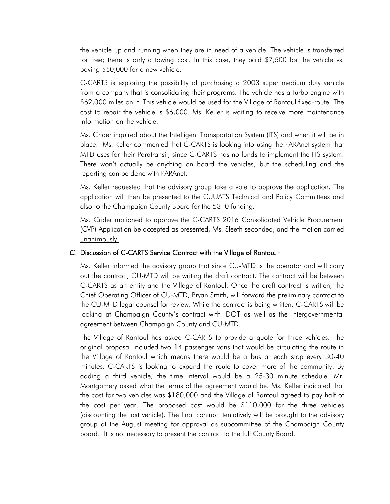the vehicle up and running when they are in need of a vehicle. The vehicle is transferred for free; there is only a towing cost. In this case, they paid \$7,500 for the vehicle vs. paying \$50,000 for a new vehicle.

C-CARTS is exploring the possibility of purchasing a 2003 super medium duty vehicle from a company that is consolidating their programs. The vehicle has a turbo engine with \$62,000 miles on it. This vehicle would be used for the Village of Rantoul fixed-route. The cost to repair the vehicle is \$6,000. Ms. Keller is waiting to receive more maintenance information on the vehicle.

Ms. Crider inquired about the Intelligent Transportation System (ITS) and when it will be in place. Ms. Keller commented that C-CARTS is looking into using the PARAnet system that MTD uses for their Paratransit, since C-CARTS has no funds to implement the ITS system. There won't actually be anything on board the vehicles, but the scheduling and the reporting can be done with PARAnet.

Ms. Keller requested that the advisory group take a vote to approve the application. The application will then be presented to the CUUATS Technical and Policy Committees and also to the Champaign County Board for the 5310 funding.

Ms. Crider motioned to approve the C-CARTS 2016 Consolidated Vehicle Procurement (CVP) Application be accepted as presented, Ms. Sleeth seconded, and the motion carried unanimously.

#### C. Discussion of C-CARTS Service Contract with the Village of Rantoul -

Ms. Keller informed the advisory group that since CU-MTD is the operator and will carry out the contract, CU-MTD will be writing the draft contract. The contract will be between C-CARTS as an entity and the Village of Rantoul. Once the draft contract is written, the Chief Operating Officer of CU-MTD, Bryan Smith, will forward the preliminary contract to the CU-MTD legal counsel for review. While the contract is being written, C-CARTS will be looking at Champaign County's contract with IDOT as well as the intergovernmental agreement between Champaign County and CU-MTD.

The Village of Rantoul has asked C-CARTS to provide a quote for three vehicles. The original proposal included two 14 passenger vans that would be circulating the route in the Village of Rantoul which means there would be a bus at each stop every 30-40 minutes. C-CARTS is looking to expand the route to cover more of the community. By adding a third vehicle, the time interval would be a 25-30 minute schedule. Mr. Montgomery asked what the terms of the agreement would be. Ms. Keller indicated that the cost for two vehicles was \$180,000 and the Village of Rantoul agreed to pay half of the cost per year. The proposed cost would be \$110,000 for the three vehicles (discounting the last vehicle). The final contract tentatively will be brought to the advisory group at the August meeting for approval as subcommittee of the Champaign County board. It is not necessary to present the contract to the full County Board.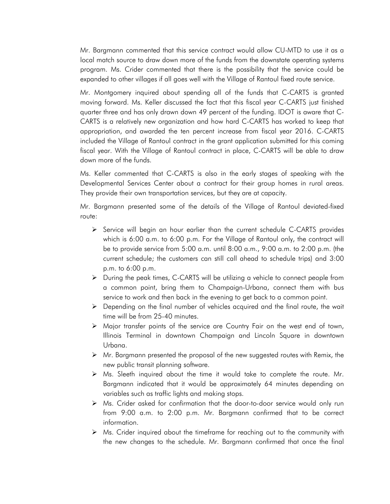Mr. Bargmann commented that this service contract would allow CU-MTD to use it as a local match source to draw down more of the funds from the downstate operating systems program. Ms. Crider commented that there is the possibility that the service could be expanded to other villages if all goes well with the Village of Rantoul fixed route service.

Mr. Montgomery inquired about spending all of the funds that C-CARTS is granted moving forward. Ms. Keller discussed the fact that this fiscal year C-CARTS just finished quarter three and has only drawn down 49 percent of the funding. IDOT is aware that C-CARTS is a relatively new organization and how hard C-CARTS has worked to keep that appropriation, and awarded the ten percent increase from fiscal year 2016. C-CARTS included the Village of Rantoul contract in the grant application submitted for this coming fiscal year. With the Village of Rantoul contract in place, C-CARTS will be able to draw down more of the funds.

Ms. Keller commented that C-CARTS is also in the early stages of speaking with the Developmental Services Center about a contract for their group homes in rural areas. They provide their own transportation services, but they are at capacity.

Mr. Bargmann presented some of the details of the Village of Rantoul deviated-fixed route:

- $\triangleright$  Service will begin an hour earlier than the current schedule C-CARTS provides which is 6:00 a.m. to 6:00 p.m. For the Village of Rantoul only, the contract will be to provide service from 5:00 a.m. until 8:00 a.m., 9:00 a.m. to 2:00 p.m. (the current schedule; the customers can still call ahead to schedule trips) and 3:00 p.m. to 6:00 p.m.
- $\triangleright$  During the peak times, C-CARTS will be utilizing a vehicle to connect people from a common point, bring them to Champaign-Urbana, connect them with bus service to work and then back in the evening to get back to a common point.
- $\triangleright$  Depending on the final number of vehicles acquired and the final route, the wait time will be from 25-40 minutes.
- Major transfer points of the service are Country Fair on the west end of town, Illinois Terminal in downtown Champaign and Lincoln Square in downtown Urbana.
- $\triangleright$  Mr. Bargmann presented the proposal of the new suggested routes with Remix, the new public transit planning software.
- $\triangleright$  Ms. Sleeth inquired about the time it would take to complete the route. Mr. Bargmann indicated that it would be approximately 64 minutes depending on variables such as traffic lights and making stops.
- Ms. Crider asked for confirmation that the door-to-door service would only run from 9:00 a.m. to 2:00 p.m. Mr. Bargmann confirmed that to be correct information.
- $\triangleright$  Ms. Crider inquired about the timeframe for reaching out to the community with the new changes to the schedule. Mr. Bargmann confirmed that once the final